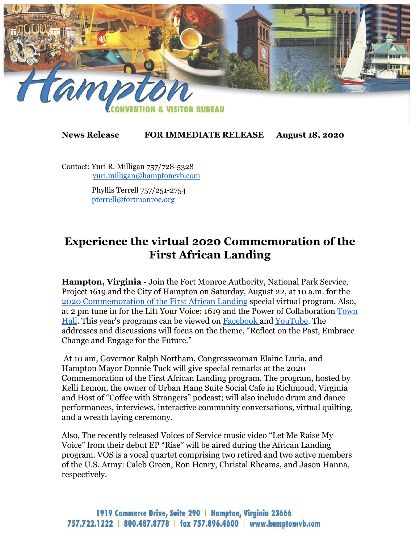

## **News Release FOR IMMEDIATE RELEASE August 18, 2020**

Contact: Yuri R. Milligan 757/728-5328 [yuri.milligan@hamptoncvb.com](mailto:yuri.milligan@hamptoncvb.com)

> Phyllis Terrell 757/251-2754 [pterrell@fortmonroe.org](mailto:pterrell@fortmonroe.org)

## **Experience the virtual 2020 Commemoration of the First African Landing**

**Hampton, Virginia** - Join the Fort Monroe Authority, National Park Service, Project 1619 and the City of Hampton on Saturday, August 22, at 10 a.m. for the [2020 Commemoration of the First African Landing](https://mailchi.mp/fortmonroe.org/support-fort-monroe-with-give-local-2553806) special virtual program. Also, at 2 pm tune in for the Lift Your Voice: 1619 and the Power of Collaboration [Town](https://blackmuseums.org/lift-your-voice-1619/) [Hall](https://blackmuseums.org/lift-your-voice-1619/). This year's programs can be viewed on [Facebook a](https://www.facebook.com/FortMonroeatOldPointComfort/?__tn__=%2Cd%2CP-R&eid=ARBd6m7sfnvCeNLmvcPyc1MhordcZBEQFsgFhAfqzhDQGDy-Fe-g7IrWHKs36XFtczutjYGZ_CwgX_kI)nd [YouTube](https://www.youtube.com/channel/UCIoyZuTeyXKo7NlT100sG0w). The addresses and discussions will focus on the theme, "Reflect on the Past, Embrace Change and Engage for the Future."

 At 10 am, Governor Ralph Northam, Congresswoman Elaine Luria, and Hampton Mayor Donnie Tuck will give special remarks at the 2020 Commemoration of the First African Landing program. The program, hosted by Kelli Lemon, the owner of Urban Hang Suite Social Cafe in Richmond, Virginia and Host of "Coffee with Strangers" podcast; will also include drum and dance performances, interviews, interactive community conversations, virtual quilting, and a wreath laying ceremony.

Also, The recently released Voices of Service music video "Let Me Raise My Voice" from their debut EP "Rise" will be aired during the African Landing program. VOS is a vocal quartet comprising two retired and two active members of the U.S. Army: Caleb Green, Ron Henry, Christal Rheams, and Jason Hanna, respectively.